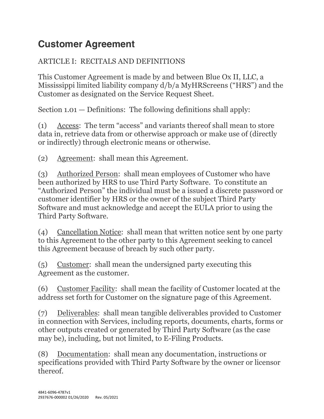## **Customer Agreement**

## ARTICLE I: RECITALS AND DEFINITIONS

This Customer Agreement is made by and between Blue Ox II, LLC, a Mississippi limited liability company d/b/a MyHRScreens ("HRS") and the Customer as designated on the Service Request Sheet.

Section 1.01 — Definitions: The following definitions shall apply:

(1) Access: The term "access" and variants thereof shall mean to store data in, retrieve data from or otherwise approach or make use of (directly or indirectly) through electronic means or otherwise.

(2) Agreement: shall mean this Agreement.

(3) Authorized Person: shall mean employees of Customer who have been authorized by HRS to use Third Party Software. To constitute an "Authorized Person" the individual must be a issued a discrete password or customer identifier by HRS or the owner of the subject Third Party Software and must acknowledge and accept the EULA prior to using the Third Party Software.

(4) Cancellation Notice: shall mean that written notice sent by one party to this Agreement to the other party to this Agreement seeking to cancel this Agreement because of breach by such other party.

(5) Customer: shall mean the undersigned party executing this Agreement as the customer.

(6) Customer Facility: shall mean the facility of Customer located at the address set forth for Customer on the signature page of this Agreement.

(7) Deliverables: shall mean tangible deliverables provided to Customer in connection with Services, including reports, documents, charts, forms or other outputs created or generated by Third Party Software (as the case may be), including, but not limited, to E-Filing Products.

(8) Documentation: shall mean any documentation, instructions or specifications provided with Third Party Software by the owner or licensor thereof.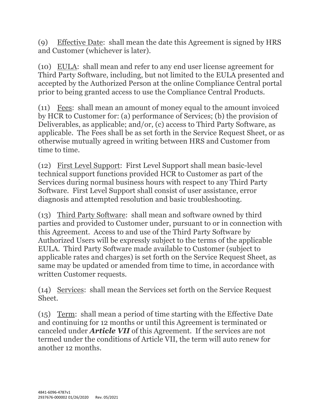(9) Effective Date: shall mean the date this Agreement is signed by HRS and Customer (whichever is later).

(10) EULA: shall mean and refer to any end user license agreement for Third Party Software, including, but not limited to the EULA presented and accepted by the Authorized Person at the online Compliance Central portal prior to being granted access to use the Compliance Central Products.

(11) Fees: shall mean an amount of money equal to the amount invoiced by HCR to Customer for: (a) performance of Services; (b) the provision of Deliverables, as applicable; and/or, (c) access to Third Party Software, as applicable. The Fees shall be as set forth in the Service Request Sheet, or as otherwise mutually agreed in writing between HRS and Customer from time to time.

(12) First Level Support: First Level Support shall mean basic-level technical support functions provided HCR to Customer as part of the Services during normal business hours with respect to any Third Party Software. First Level Support shall consist of user assistance, error diagnosis and attempted resolution and basic troubleshooting.

(13) Third Party Software: shall mean and software owned by third parties and provided to Customer under, pursuant to or in connection with this Agreement. Access to and use of the Third Party Software by Authorized Users will be expressly subject to the terms of the applicable EULA. Third Party Software made available to Customer (subject to applicable rates and charges) is set forth on the Service Request Sheet, as same may be updated or amended from time to time, in accordance with written Customer requests.

(14) Services: shall mean the Services set forth on the Service Request Sheet.

(15) Term: shall mean a period of time starting with the Effective Date and continuing for 12 months or until this Agreement is terminated or canceled under *Article VII* of this Agreement. If the services are not termed under the conditions of Article VII, the term will auto renew for another 12 months.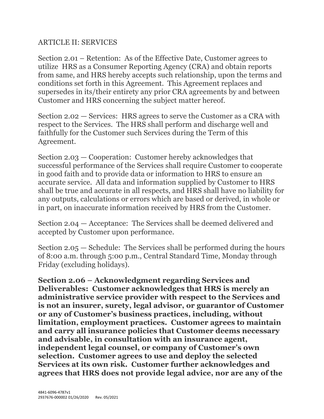#### ARTICLE II: SERVICES

Section 2.01 – Retention: As of the Effective Date, Customer agrees to utilize HRS as a Consumer Reporting Agency (CRA) and obtain reports from same, and HRS hereby accepts such relationship, upon the terms and conditions set forth in this Agreement. This Agreement replaces and supersedes in its/their entirety any prior CRA agreements by and between Customer and HRS concerning the subject matter hereof.

Section 2.02 — Services: HRS agrees to serve the Customer as a CRA with respect to the Services. The HRS shall perform and discharge well and faithfully for the Customer such Services during the Term of this Agreement.

Section 2.03 — Cooperation: Customer hereby acknowledges that successful performance of the Services shall require Customer to cooperate in good faith and to provide data or information to HRS to ensure an accurate service. All data and information supplied by Customer to HRS shall be true and accurate in all respects, and HRS shall have no liability for any outputs, calculations or errors which are based or derived, in whole or in part, on inaccurate information received by HRS from the Customer.

Section 2.04 — Acceptance: The Services shall be deemed delivered and accepted by Customer upon performance.

Section 2.05 — Schedule: The Services shall be performed during the hours of 8:00 a.m. through 5:00 p.m., Central Standard Time, Monday through Friday (excluding holidays).

**Section 2.06 – Acknowledgment regarding Services and Deliverables: Customer acknowledges that HRS is merely an administrative service provider with respect to the Services and is not an insurer, surety, legal advisor, or guarantor of Customer or any of Customer's business practices, including, without limitation, employment practices. Customer agrees to maintain and carry all insurance policies that Customer deems necessary and advisable, in consultation with an insurance agent, independent legal counsel, or company of Customer's own selection. Customer agrees to use and deploy the selected Services at its own risk. Customer further acknowledges and agrees that HRS does not provide legal advice, nor are any of the**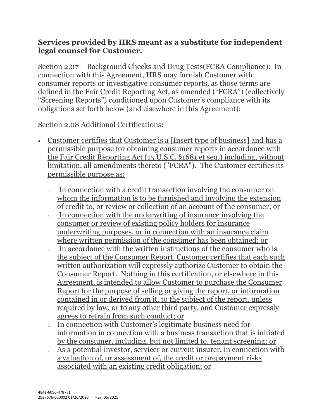### **Services provided by HRS meant as a substitute for independent legal counsel for Customer.**

Section 2.07 – Background Checks and Drug Tests(FCRA Compliance): In connection with this Agreement, HRS may furnish Customer with consumer reports or investigative consumer reports, as those terms are defined in the Fair Credit Reporting Act, as amended ("FCRA") (collectively "Screening Reports") conditioned upon Customer's compliance with its obligations set forth below (and elsewhere in this Agreement):

Section 2.08 Additional Certifications:

- Customer certifies that Customer is a [Insert type of business] and has a permissible purpose for obtaining consumer reports in accordance with the Fair Credit Reporting Act (15 U.S.C. §1681 et seq.) including, without limitation, all amendments thereto ("FCRA"). The Customer certifies its permissible purpose as:
	- o In connection with a credit transaction involving the consumer on whom the information is to be furnished and involving the extension of credit to, or review or collection of an account of the consumer; or
	- o In connection with the underwriting of insurance involving the consumer or review of existing policy holders for insurance underwriting purposes, or in connection with an insurance claim where written permission of the consumer has been obtained; or
	- o In accordance with the written instructions of the consumer who is the subject of the Consumer Report. Customer certifies that each such written authorization will expressly authorize Customer to obtain the Consumer Report. Nothing in this certification, or elsewhere in this Agreement, is intended to allow Customer to purchase the Consumer Report for the purpose of selling or giving the report, or information contained in or derived from it, to the subject of the report, unless required by law, or to any other third party, and Customer expressly agrees to refrain from such conduct; or
	- o In connection with Customer's legitimate business need for information in connection with a business transaction that is initiated by the consumer, including, but not limited to, tenant screening; or
	- o As a potential investor, servicer or current insurer, in connection with a valuation of, or assessment of, the credit or prepayment risks associated with an existing credit obligation; or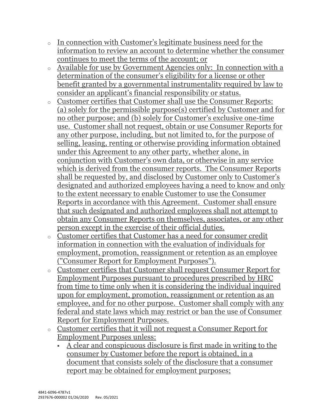- o In connection with Customer's legitimate business need for the information to review an account to determine whether the consumer continues to meet the terms of the account; or
- o Available for use by Government Agencies only: In connection with a determination of the consumer's eligibility for a license or other benefit granted by a governmental instrumentality required by law to consider an applicant's financial responsibility or status.
- o Customer certifies that Customer shall use the Consumer Reports: (a) solely for the permissible purpose(s) certified by Customer and for no other purpose; and (b) solely for Customer's exclusive one-time use. Customer shall not request, obtain or use Consumer Reports for any other purpose, including, but not limited to, for the purpose of selling, leasing, renting or otherwise providing information obtained under this Agreement to any other party, whether alone, in conjunction with Customer's own data, or otherwise in any service which is derived from the consumer reports. The Consumer Reports shall be requested by, and disclosed by Customer only to Customer's designated and authorized employees having a need to know and only to the extent necessary to enable Customer to use the Consumer Reports in accordance with this Agreement. Customer shall ensure that such designated and authorized employees shall not attempt to obtain any Consumer Reports on themselves, associates, or any other person except in the exercise of their official duties.
- o Customer certifies that Customer has a need for consumer credit information in connection with the evaluation of individuals for employment, promotion, reassignment or retention as an employee ("Consumer Report for Employment Purposes").
- o Customer certifies that Customer shall request Consumer Report for Employment Purposes pursuant to procedures prescribed by HRC from time to time only when it is considering the individual inquired upon for employment, promotion, reassignment or retention as an employee, and for no other purpose. Customer shall comply with any federal and state laws which may restrict or ban the use of Consumer Report for Employment Purposes.
- o Customer certifies that it will not request a Consumer Report for Employment Purposes unless:
	- § A clear and conspicuous disclosure is first made in writing to the consumer by Customer before the report is obtained, in a document that consists solely of the disclosure that a consumer report may be obtained for employment purposes;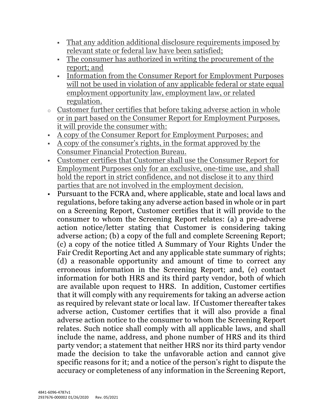- § That any addition additional disclosure requirements imposed by relevant state or federal law have been satisfied;
- § The consumer has authorized in writing the procurement of the report; and
- § Information from the Consumer Report for Employment Purposes will not be used in violation of any applicable federal or state equal employment opportunity law, employment law, or related regulation.
- o Customer further certifies that before taking adverse action in whole or in part based on the Consumer Report for Employment Purposes, it will provide the consumer with:
- § A copy of the Consumer Report for Employment Purposes; and
- § A copy of the consumer's rights, in the format approved by the Consumer Financial Protection Bureau.
- § Customer certifies that Customer shall use the Consumer Report for Employment Purposes only for an exclusive, one-time use, and shall hold the report in strict confidence, and not disclose it to any third parties that are not involved in the employment decision.
- § Pursuant to the FCRA and, where applicable, state and local laws and regulations, before taking any adverse action based in whole or in part on a Screening Report, Customer certifies that it will provide to the consumer to whom the Screening Report relates: (a) a pre-adverse action notice/letter stating that Customer is considering taking adverse action; (b) a copy of the full and complete Screening Report; (c) a copy of the notice titled A Summary of Your Rights Under the Fair Credit Reporting Act and any applicable state summary of rights; (d) a reasonable opportunity and amount of time to correct any erroneous information in the Screening Report; and, (e) contact information for both HRS and its third party vendor, both of which are available upon request to HRS. In addition, Customer certifies that it will comply with any requirements for taking an adverse action as required by relevant state or local law. If Customer thereafter takes adverse action, Customer certifies that it will also provide a final adverse action notice to the consumer to whom the Screening Report relates. Such notice shall comply with all applicable laws, and shall include the name, address, and phone number of HRS and its third party vendor; a statement that neither HRS nor its third party vendor made the decision to take the unfavorable action and cannot give specific reasons for it; and a notice of the person's right to dispute the accuracy or completeness of any information in the Screening Report,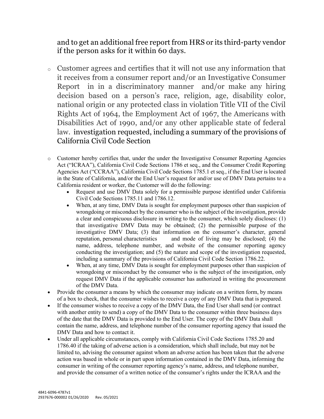and to get an additional free report from HRS or its third-party vendor if the person asks for it within 60 days.

- o Customer agrees and certifies that it will not use any information that it receives from a consumer report and/or an Investigative Consumer Report in in a discriminatory manner and/or make any hiring decision based on a person's race, religion, age, disability color, national origin or any protected class in violation Title VII of the Civil Rights Act of 1964, the Employment Act of 1967, the Americans with Disabilities Act of 1990, and/or any other applicable state of federal law. investigation requested, including a summary of the provisions of California Civil Code Section
- o Customer hereby certifies that, under the under the Investigative Consumer Reporting Agencies Act ("ICRAA"), California Civil Code Sections 1786 et seq., and the Consumer Credit Reporting Agencies Act ("CCRAA"), California Civil Code Sections 1785.1 et seq., if the End User is located in the State of California, and/or the End User's request for and/or use of DMV Data pertains to a California resident or worker, the Customer will do the following:
	- Request and use DMV Data solely for a permissible purpose identified under California Civil Code Sections 1785.11 and 1786.12.
	- When, at any time, DMV Data is sought for employment purposes other than suspicion of wrongdoing or misconduct by the consumer who is the subject of the investigation, provide a clear and conspicuous disclosure in writing to the consumer, which solely discloses: (1) that investigative DMV Data may be obtained; (2) the permissible purpose of the investigative DMV Data; (3) that information on the consumer's character, general reputation, personal characteristics and mode of living may be disclosed; (4) the name, address, telephone number, and website of the consumer reporting agency conducting the investigation; and (5) the nature and scope of the investigation requested, including a summary of the provisions of California Civil Code Section 1786.22.
	- When, at any time, DMV Data is sought for employment purposes other than suspicion of wrongdoing or misconduct by the consumer who is the subject of the investigation, only request DMV Data if the applicable consumer has authorized in writing the procurement of the DMV Data.
- Provide the consumer a means by which the consumer may indicate on a written form, by means of a box to check, that the consumer wishes to receive a copy of any DMV Data that is prepared.
- If the consumer wishes to receive a copy of the DMV Data, the End User shall send (or contract with another entity to send) a copy of the DMV Data to the consumer within three business days of the date that the DMV Data is provided to the End User. The copy of the DMV Data shall contain the name, address, and telephone number of the consumer reporting agency that issued the DMV Data and how to contact it.
- Under all applicable circumstances, comply with California Civil Code Sections 1785.20 and 1786.40 if the taking of adverse action is a consideration, which shall include, but may not be limited to, advising the consumer against whom an adverse action has been taken that the adverse action was based in whole or in part upon information contained in the DMV Data, informing the consumer in writing of the consumer reporting agency's name, address, and telephone number, and provide the consumer of a written notice of the consumer's rights under the ICRAA and the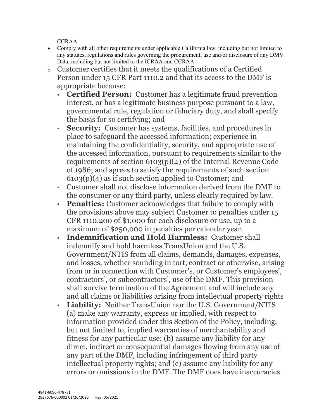CCRAA.

- Comply with all other requirements under applicable California law, including but not limited to any statutes, regulations and rules governing the procurement, use and/or disclosure of any DMV Data, including but not limited to the ICRAA and CCRAA.
- o Customer certifies that it meets the qualifications of a Certified Person under 15 CFR Part 1110.2 and that its access to the DMF is appropriate because:
	- § **Certified Person:** Customer has a legitimate fraud prevention interest, or has a legitimate business purpose pursuant to a law, governmental rule, regulation or fiduciary duty, and shall specify the basis for so certifying; and
	- **Security:** Customer has systems, facilities, and procedures in place to safeguard the accessed information; experience in maintaining the confidentiality, security, and appropriate use of the accessed information, pursuant to requirements similar to the requirements of section 6103(p)(4) of the Internal Revenue Code of 1986; and agrees to satisfy the requirements of such section 6103(p)(4) as if such section applied to Customer; and
	- § Customer shall not disclose information derived from the DMF to the consumer or any third party, unless clearly required by law.
	- **Penalties:** Customer acknowledges that failure to comply with the provisions above may subject Customer to penalties under 15 CFR 1110.200 of \$1,000 for each disclosure or use, up to a maximum of \$250,000 in penalties per calendar year.
	- § **Indemnification and Hold Harmless:** Customer shall indemnify and hold harmless TransUnion and the U.S. Government/NTIS from all claims, demands, damages, expenses, and losses, whether sounding in tort, contract or otherwise, arising from or in connection with Customer's, or Customer's employees', contractors', or subcontractors', use of the DMF. This provision shall survive termination of the Agreement and will include any and all claims or liabilities arising from intellectual property rights
	- § **Liability:** Neither TransUnion nor the U.S. Government/NTIS (a) make any warranty, express or implied, with respect to information provided under this Section of the Policy, including, but not limited to, implied warranties of merchantability and fitness for any particular use; (b) assume any liability for any direct, indirect or consequential damages flowing from any use of any part of the DMF, including infringement of third party intellectual property rights; and (c) assume any liability for any errors or omissions in the DMF. The DMF does have inaccuracies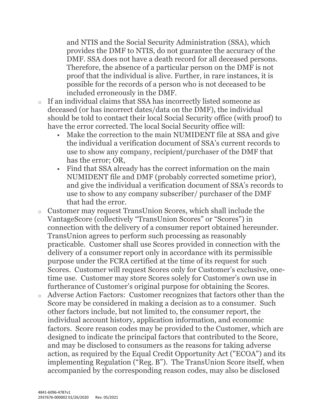and NTIS and the Social Security Administration (SSA), which provides the DMF to NTIS, do not guarantee the accuracy of the DMF. SSA does not have a death record for all deceased persons. Therefore, the absence of a particular person on the DMF is not proof that the individual is alive. Further, in rare instances, it is possible for the records of a person who is not deceased to be included erroneously in the DMF.

- o If an individual claims that SSA has incorrectly listed someone as deceased (or has incorrect dates/data on the DMF), the individual should be told to contact their local Social Security office (with proof) to have the error corrected. The local Social Security office will:
	- § Make the correction to the main NUMIDENT file at SSA and give the individual a verification document of SSA's current records to use to show any company, recipient/purchaser of the DMF that has the error; OR,
	- Find that SSA already has the correct information on the main NUMIDENT file and DMF (probably corrected sometime prior), and give the individual a verification document of SSA's records to use to show to any company subscriber/ purchaser of the DMF that had the error.
- o Customer may request TransUnion Scores, which shall include the VantageScore (collectively "TransUnion Scores" or "Scores") in connection with the delivery of a consumer report obtained hereunder. TransUnion agrees to perform such processing as reasonably practicable. Customer shall use Scores provided in connection with the delivery of a consumer report only in accordance with its permissible purpose under the FCRA certified at the time of its request for such Scores. Customer will request Scores only for Customer's exclusive, onetime use. Customer may store Scores solely for Customer's own use in furtherance of Customer's original purpose for obtaining the Scores.
- o Adverse Action Factors: Customer recognizes that factors other than the Score may be considered in making a decision as to a consumer. Such other factors include, but not limited to, the consumer report, the individual account history, application information, and economic factors. Score reason codes may be provided to the Customer, which are designed to indicate the principal factors that contributed to the Score, and may be disclosed to consumers as the reasons for taking adverse action, as required by the Equal Credit Opportunity Act ("ECOA") and its implementing Regulation ("Reg. B"). The TransUnion Score itself, when accompanied by the corresponding reason codes, may also be disclosed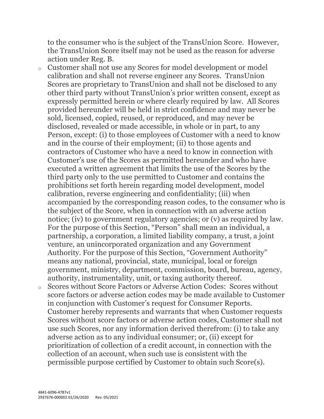to the consumer who is the subject of the TransUnion Score. However, the TransUnion Score itself may not be used as the reason for adverse action under Reg. B.

- o Customer shall not use any Scores for model development or model calibration and shall not reverse engineer any Scores. TransUnion Scores are proprietary to TransUnion and shall not be disclosed to any other third party without TransUnion's prior written consent, except as expressly permitted herein or where clearly required by law. All Scores provided hereunder will be held in strict confidence and may never be sold, licensed, copied, reused, or reproduced, and may never be disclosed, revealed or made accessible, in whole or in part, to any Person, except: (i) to those employees of Customer with a need to know and in the course of their employment; (ii) to those agents and contractors of Customer who have a need to know in connection with Customer's use of the Scores as permitted hereunder and who have executed a written agreement that limits the use of the Scores by the third party only to the use permitted to Customer and contains the prohibitions set forth herein regarding model development, model calibration, reverse engineering and confidentiality; (iii) when accompanied by the corresponding reason codes, to the consumer who is the subject of the Score, when in connection with an adverse action notice; (iv) to government regulatory agencies; or (v) as required by law. For the purpose of this Section, "Person" shall mean an individual, a partnership, a corporation, a limited liability company, a trust, a joint venture, an unincorporated organization and any Government Authority. For the purpose of this Section, "Government Authority" means any national, provincial, state, municipal, local or foreign government, ministry, department, commission, board, bureau, agency, authority, instrumentality, unit, or taxing authority thereof.
- o Scores without Score Factors or Adverse Action Codes: Scores without score factors or adverse action codes may be made available to Customer in conjunction with Customer's request for Consumer Reports. Customer hereby represents and warrants that when Customer requests Scores without score factors or adverse action codes, Customer shall not use such Scores, nor any information derived therefrom: (i) to take any adverse action as to any individual consumer; or, (ii) except for prioritization of collection of a credit account, in connection with the collection of an account, when such use is consistent with the permissible purpose certified by Customer to obtain such Score(s).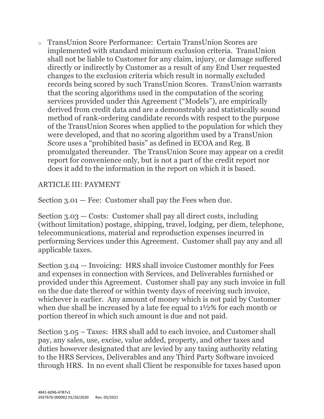o TransUnion Score Performance: Certain TransUnion Scores are implemented with standard minimum exclusion criteria. TransUnion shall not be liable to Customer for any claim, injury, or damage suffered directly or indirectly by Customer as a result of any End User requested changes to the exclusion criteria which result in normally excluded records being scored by such TransUnion Scores. TransUnion warrants that the scoring algorithms used in the computation of the scoring services provided under this Agreement ("Models"), are empirically derived from credit data and are a demonstrably and statistically sound method of rank-ordering candidate records with respect to the purpose of the TransUnion Scores when applied to the population for which they were developed, and that no scoring algorithm used by a TransUnion Score uses a "prohibited basis" as defined in ECOA and Reg. B promulgated thereunder. The TransUnion Score may appear on a credit report for convenience only, but is not a part of the credit report nor does it add to the information in the report on which it is based.

#### ARTICLE III: PAYMENT

Section 3.01 — Fee: Customer shall pay the Fees when due.

Section 3.03 — Costs: Customer shall pay all direct costs, including (without limitation) postage, shipping, travel, lodging, per diem, telephone, telecommunications, material and reproduction expenses incurred in performing Services under this Agreement. Customer shall pay any and all applicable taxes.

Section 3.04 — Invoicing: HRS shall invoice Customer monthly for Fees and expenses in connection with Services, and Deliverables furnished or provided under this Agreement. Customer shall pay any such invoice in full on the due date thereof or within twenty days of receiving such invoice, whichever is earlier. Any amount of money which is not paid by Customer when due shall be increased by a late fee equal to 1½% for each month or portion thereof in which such amount is due and not paid.

Section 3.05 – Taxes: HRS shall add to each invoice, and Customer shall pay, any sales, use, excise, value added, property, and other taxes and duties however designated that are levied by any taxing authority relating to the HRS Services, Deliverables and any Third Party Software invoiced through HRS. In no event shall Client be responsible for taxes based upon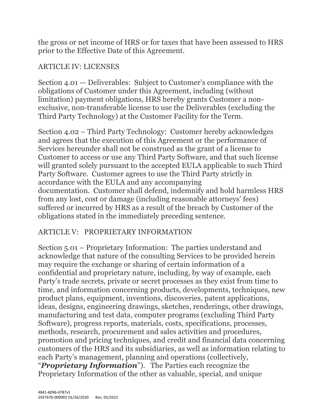the gross or net income of HRS or for taxes that have been assessed to HRS prior to the Effective Date of this Agreement.

### ARTICLE IV: LICENSES

Section 4.01 — Deliverables: Subject to Customer's compliance with the obligations of Customer under this Agreement, including (without limitation) payment obligations, HRS hereby grants Customer a nonexclusive, non-transferable license to use the Deliverables (excluding the Third Party Technology) at the Customer Facility for the Term.

Section 4.02 – Third Party Technology: Customer hereby acknowledges and agrees that the execution of this Agreement or the performance of Services hereunder shall not be construed as the grant of a license to Customer to access or use any Third Party Software, and that such license will granted solely pursuant to the accepted EULA applicable to such Third Party Software. Customer agrees to use the Third Party strictly in accordance with the EULA and any accompanying documentation. Customer shall defend, indemnify and hold harmless HRS from any lost, cost or damage (including reasonable attorneys' fees) suffered or incurred by HRS as a result of the breach by Customer of the obligations stated in the immediately preceding sentence.

### ARTICLE V: PROPRIETARY INFORMATION

Section 5.01 – Proprietary Information: The parties understand and acknowledge that nature of the consulting Services to be provided herein may require the exchange or sharing of certain information of a confidential and proprietary nature, including, by way of example, each Party's trade secrets, private or secret processes as they exist from time to time, and information concerning products, developments, techniques, new product plans, equipment, inventions, discoveries, patent applications, ideas, designs, engineering drawings, sketches, renderings, other drawings, manufacturing and test data, computer programs (excluding Third Party Software), progress reports, materials, costs, specifications, processes, methods, research, procurement and sales activities and procedures, promotion and pricing techniques, and credit and financial data concerning customers of the HRS and its subsidiaries, as well as information relating to each Party's management, planning and operations (collectively, "*Proprietary Information*"). The Parties each recognize the Proprietary Information of the other as valuable, special, and unique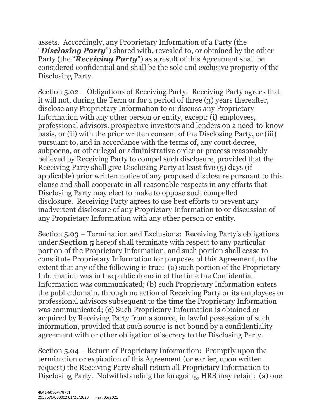assets. Accordingly, any Proprietary Information of a Party (the "*Disclosing Party*") shared with, revealed to, or obtained by the other Party (the "*Receiving Party*") as a result of this Agreement shall be considered confidential and shall be the sole and exclusive property of the Disclosing Party.

Section 5.02 – Obligations of Receiving Party: Receiving Party agrees that it will not, during the Term or for a period of three (3) years thereafter, disclose any Proprietary Information to or discuss any Proprietary Information with any other person or entity, except: (i) employees, professional advisors, prospective investors and lenders on a need-to-know basis, or (ii) with the prior written consent of the Disclosing Party, or (iii) pursuant to, and in accordance with the terms of, any court decree, subpoena, or other legal or administrative order or process reasonably believed by Receiving Party to compel such disclosure, provided that the Receiving Party shall give Disclosing Party at least five  $(5)$  days (if applicable) prior written notice of any proposed disclosure pursuant to this clause and shall cooperate in all reasonable respects in any efforts that Disclosing Party may elect to make to oppose such compelled disclosure. Receiving Party agrees to use best efforts to prevent any inadvertent disclosure of any Proprietary Information to or discussion of any Proprietary Information with any other person or entity.

Section 5.03 – Termination and Exclusions: Receiving Party's obligations under **Section 5** hereof shall terminate with respect to any particular portion of the Proprietary Information, and such portion shall cease to constitute Proprietary Information for purposes of this Agreement, to the extent that any of the following is true: (a) such portion of the Proprietary Information was in the public domain at the time the Confidential Information was communicated; (b) such Proprietary Information enters the public domain, through no action of Receiving Party or its employees or professional advisors subsequent to the time the Proprietary Information was communicated; (c) Such Proprietary Information is obtained or acquired by Receiving Party from a source, in lawful possession of such information, provided that such source is not bound by a confidentiality agreement with or other obligation of secrecy to the Disclosing Party.

Section 5.04 – Return of Proprietary Information: Promptly upon the termination or expiration of this Agreement (or earlier, upon written request) the Receiving Party shall return all Proprietary Information to Disclosing Party. Notwithstanding the foregoing, HRS may retain: (a) one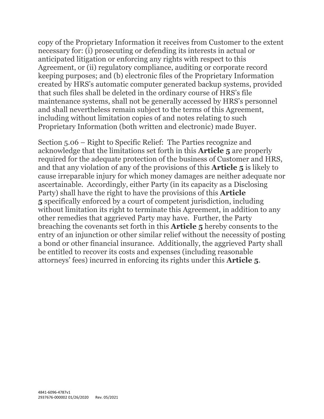copy of the Proprietary Information it receives from Customer to the extent necessary for: (i) prosecuting or defending its interests in actual or anticipated litigation or enforcing any rights with respect to this Agreement, or (ii) regulatory compliance, auditing or corporate record keeping purposes; and (b) electronic files of the Proprietary Information created by HRS's automatic computer generated backup systems, provided that such files shall be deleted in the ordinary course of HRS's file maintenance systems, shall not be generally accessed by HRS's personnel and shall nevertheless remain subject to the terms of this Agreement, including without limitation copies of and notes relating to such Proprietary Information (both written and electronic) made Buyer.

Section 5.06 – Right to Specific Relief: The Parties recognize and acknowledge that the limitations set forth in this **Article 5** are properly required for the adequate protection of the business of Customer and HRS, and that any violation of any of the provisions of this **Article 5** is likely to cause irreparable injury for which money damages are neither adequate nor ascertainable. Accordingly, either Party (in its capacity as a Disclosing Party) shall have the right to have the provisions of this **Article 5** specifically enforced by a court of competent jurisdiction, including without limitation its right to terminate this Agreement, in addition to any other remedies that aggrieved Party may have. Further, the Party breaching the covenants set forth in this **Article 5** hereby consents to the entry of an injunction or other similar relief without the necessity of posting a bond or other financial insurance. Additionally, the aggrieved Party shall be entitled to recover its costs and expenses (including reasonable attorneys' fees) incurred in enforcing its rights under this **Article 5**.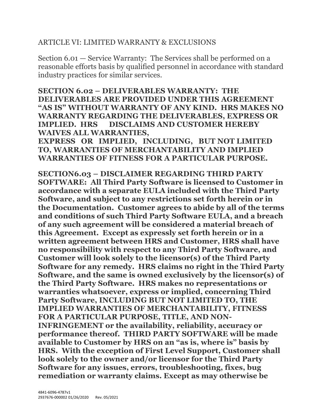#### ARTICLE VI: LIMITED WARRANTY & EXCLUSIONS

Section 6.01 — Service Warranty: The Services shall be performed on a reasonable efforts basis by qualified personnel in accordance with standard industry practices for similar services.

#### **SECTION 6.02 – DELIVERABLES WARRANTY: THE DELIVERABLES ARE PROVIDED UNDER THIS AGREEMENT "AS IS" WITHOUT WARRANTY OF ANY KIND. HRS MAKES NO WARRANTY REGARDING THE DELIVERABLES, EXPRESS OR IMPLIED. HRS DISCLAIMS AND CUSTOMER HEREBY WAIVES ALL WARRANTIES,**

**EXPRESS OR IMPLIED, INCLUDING, BUT NOT LIMITED TO, WARRANTIES OF MERCHANTABILITY AND IMPLIED WARRANTIES OF FITNESS FOR A PARTICULAR PURPOSE.**

**SECTION6.03 – DISCLAIMER REGARDING THIRD PARTY SOFTWARE: All Third Party Software is licensed to Customer in accordance with a separate EULA included with the Third Party Software, and subject to any restrictions set forth herein or in the Documentation. Customer agrees to abide by all of the terms and conditions of such Third Party Software EULA, and a breach of any such agreement will be considered a material breach of this Agreement. Except as expressly set forth herein or in a written agreement between HRS and Customer, HRS shall have no responsibility with respect to any Third Party Software, and Customer will look solely to the licensor(s) of the Third Party Software for any remedy. HRS claims no right in the Third Party Software, and the same is owned exclusively by the licensor(s) of the Third Party Software. HRS makes no representations or warranties whatsoever, express or implied, concerning Third Party Software, INCLUDING BUT NOT LIMITED TO, THE IMPLIED WARRANTIES OF MERCHANTABILITY, FITNESS FOR A PARTICULAR PURPOSE, TITLE, AND NON-INFRINGEMENT or the availability, reliability, accuracy or performance thereof. THIRD PARTY SOFTWARE will be made available to Customer by HRS on an "as is, where is" basis by HRS. With the exception of First Level Support, Customer shall look solely to the owner and/or licensor for the Third Party Software for any issues, errors, troubleshooting, fixes, bug remediation or warranty claims. Except as may otherwise be**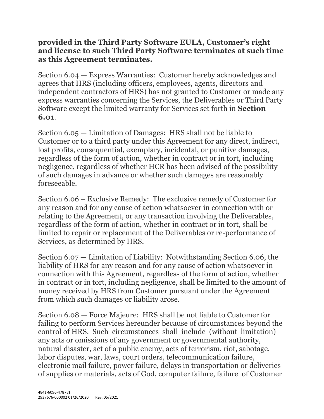### **provided in the Third Party Software EULA, Customer's right and license to such Third Party Software terminates at such time as this Agreement terminates.**

Section 6.04 — Express Warranties: Customer hereby acknowledges and agrees that HRS (including officers, employees, agents, directors and independent contractors of HRS) has not granted to Customer or made any express warranties concerning the Services, the Deliverables or Third Party Software except the limited warranty for Services set forth in **Section 6.01**.

Section 6.05 — Limitation of Damages: HRS shall not be liable to Customer or to a third party under this Agreement for any direct, indirect, lost profits, consequential, exemplary, incidental, or punitive damages, regardless of the form of action, whether in contract or in tort, including negligence, regardless of whether HCR has been advised of the possibility of such damages in advance or whether such damages are reasonably foreseeable.

Section 6.06 – Exclusive Remedy: The exclusive remedy of Customer for any reason and for any cause of action whatsoever in connection with or relating to the Agreement, or any transaction involving the Deliverables, regardless of the form of action, whether in contract or in tort, shall be limited to repair or replacement of the Deliverables or re-performance of Services, as determined by HRS.

Section 6.07 — Limitation of Liability: Notwithstanding Section 6.06, the liability of HRS for any reason and for any cause of action whatsoever in connection with this Agreement, regardless of the form of action, whether in contract or in tort, including negligence, shall be limited to the amount of money received by HRS from Customer pursuant under the Agreement from which such damages or liability arose.

Section 6.08 — Force Majeure: HRS shall be not liable to Customer for failing to perform Services hereunder because of circumstances beyond the control of HRS. Such circumstances shall include (without limitation) any acts or omissions of any government or governmental authority, natural disaster, act of a public enemy, acts of terrorism, riot, sabotage, labor disputes, war, laws, court orders, telecommunication failure, electronic mail failure, power failure, delays in transportation or deliveries of supplies or materials, acts of God, computer failure, failure of Customer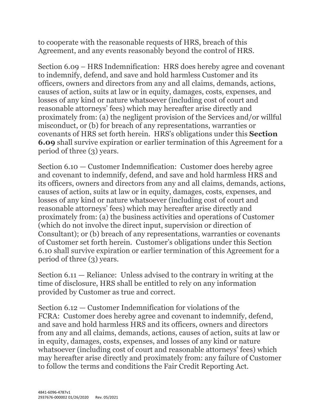to cooperate with the reasonable requests of HRS, breach of this Agreement, and any events reasonably beyond the control of HRS.

Section 6.09 – HRS Indemnification: HRS does hereby agree and covenant to indemnify, defend, and save and hold harmless Customer and its officers, owners and directors from any and all claims, demands, actions, causes of action, suits at law or in equity, damages, costs, expenses, and losses of any kind or nature whatsoever (including cost of court and reasonable attorneys' fees) which may hereafter arise directly and proximately from: (a) the negligent provision of the Services and/or willful misconduct, or (b) for breach of any representations, warranties or covenants of HRS set forth herein. HRS's obligations under this **Section 6.09** shall survive expiration or earlier termination of this Agreement for a period of three (3) years.

Section 6.10 — Customer Indemnification: Customer does hereby agree and covenant to indemnify, defend, and save and hold harmless HRS and its officers, owners and directors from any and all claims, demands, actions, causes of action, suits at law or in equity, damages, costs, expenses, and losses of any kind or nature whatsoever (including cost of court and reasonable attorneys' fees) which may hereafter arise directly and proximately from: (a) the business activities and operations of Customer (which do not involve the direct input, supervision or direction of Consultant); or (b) breach of any representations, warranties or covenants of Customer set forth herein. Customer's obligations under this Section 6.10 shall survive expiration or earlier termination of this Agreement for a period of three (3) years.

Section 6.11 — Reliance: Unless advised to the contrary in writing at the time of disclosure, HRS shall be entitled to rely on any information provided by Customer as true and correct.

Section 6.12 — Customer Indemnification for violations of the FCRA: Customer does hereby agree and covenant to indemnify, defend, and save and hold harmless HRS and its officers, owners and directors from any and all claims, demands, actions, causes of action, suits at law or in equity, damages, costs, expenses, and losses of any kind or nature whatsoever (including cost of court and reasonable attorneys' fees) which may hereafter arise directly and proximately from: any failure of Customer to follow the terms and conditions the Fair Credit Reporting Act.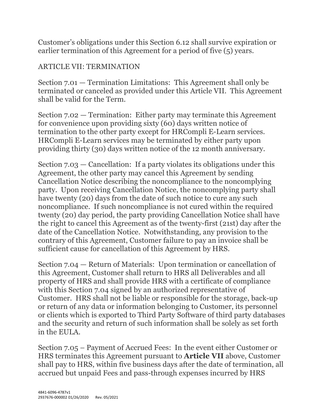Customer's obligations under this Section 6.12 shall survive expiration or earlier termination of this Agreement for a period of five (5) years.

### ARTICLE VII: TERMINATION

Section 7.01 — Termination Limitations: This Agreement shall only be terminated or canceled as provided under this Article VII. This Agreement shall be valid for the Term.

Section 7.02 — Termination: Either party may terminate this Agreement for convenience upon providing sixty (60) days written notice of termination to the other party except for HRCompli E-Learn services. HRCompli E-Learn services may be terminated by either party upon providing thirty (30) days written notice of the 12 month anniversary.

Section 7.03 — Cancellation: If a party violates its obligations under this Agreement, the other party may cancel this Agreement by sending Cancellation Notice describing the noncompliance to the noncomplying party. Upon receiving Cancellation Notice, the noncomplying party shall have twenty (20) days from the date of such notice to cure any such noncompliance. If such noncompliance is not cured within the required twenty (20) day period, the party providing Cancellation Notice shall have the right to cancel this Agreement as of the twenty-first (21st) day after the date of the Cancellation Notice. Notwithstanding, any provision to the contrary of this Agreement, Customer failure to pay an invoice shall be sufficient cause for cancellation of this Agreement by HRS.

Section 7.04 — Return of Materials: Upon termination or cancellation of this Agreement, Customer shall return to HRS all Deliverables and all property of HRS and shall provide HRS with a certificate of compliance with this Section 7.04 signed by an authorized representative of Customer. HRS shall not be liable or responsible for the storage, back-up or return of any data or information belonging to Customer, its personnel or clients which is exported to Third Party Software of third party databases and the security and return of such information shall be solely as set forth in the EULA.

Section 7.05 – Payment of Accrued Fees: In the event either Customer or HRS terminates this Agreement pursuant to **Article VII** above, Customer shall pay to HRS, within five business days after the date of termination, all accrued but unpaid Fees and pass-through expenses incurred by HRS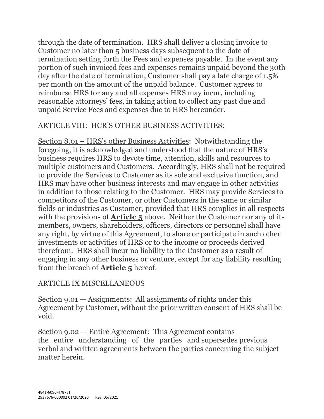through the date of termination. HRS shall deliver a closing invoice to Customer no later than 5 business days subsequent to the date of termination setting forth the Fees and expenses payable. In the event any portion of such invoiced fees and expenses remains unpaid beyond the 30th day after the date of termination, Customer shall pay a late charge of 1.5% per month on the amount of the unpaid balance. Customer agrees to reimburse HRS for any and all expenses HRS may incur, including reasonable attorneys' fees, in taking action to collect any past due and unpaid Service Fees and expenses due to HRS hereunder.

### ARTICLE VIII: HCR'S OTHER BUSINESS ACTIVITIES:

Section 8.01 – HRS's other Business Activities: Notwithstanding the foregoing, it is acknowledged and understood that the nature of HRS's business requires HRS to devote time, attention, skills and resources to multiple customers and Customers. Accordingly, HRS shall not be required to provide the Services to Customer as its sole and exclusive function, and HRS may have other business interests and may engage in other activities in addition to those relating to the Customer. HRS may provide Services to competitors of the Customer, or other Customers in the same or similar fields or industries as Customer, provided that HRS complies in all respects with the provisions of **Article 5** above. Neither the Customer nor any of its members, owners, shareholders, officers, directors or personnel shall have any right, by virtue of this Agreement, to share or participate in such other investments or activities of HRS or to the income or proceeds derived therefrom. HRS shall incur no liability to the Customer as a result of engaging in any other business or venture, except for any liability resulting from the breach of **Article 5** hereof.

#### ARTICLE IX MISCELLANEOUS

Section 9.01 — Assignments: All assignments of rights under this Agreement by Customer, without the prior written consent of HRS shall be void.

Section 9.02 — Entire Agreement: This Agreement contains the entire understanding of the parties and supersedes previous verbal and written agreements between the parties concerning the subject matter herein.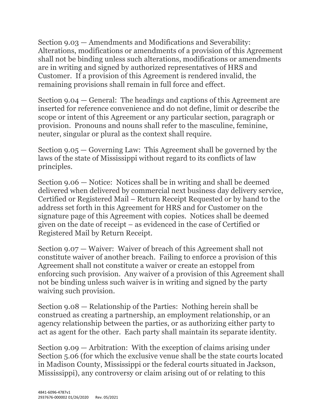Section 9.03 — Amendments and Modifications and Severability: Alterations, modifications or amendments of a provision of this Agreement shall not be binding unless such alterations, modifications or amendments are in writing and signed by authorized representatives of HRS and Customer. If a provision of this Agreement is rendered invalid, the remaining provisions shall remain in full force and effect.

Section 9.04 — General: The headings and captions of this Agreement are inserted for reference convenience and do not define, limit or describe the scope or intent of this Agreement or any particular section, paragraph or provision. Pronouns and nouns shall refer to the masculine, feminine, neuter, singular or plural as the context shall require.

Section 9.05 — Governing Law: This Agreement shall be governed by the laws of the state of Mississippi without regard to its conflicts of law principles.

Section 9.06 — Notice: Notices shall be in writing and shall be deemed delivered when delivered by commercial next business day delivery service, Certified or Registered Mail – Return Receipt Requested or by hand to the address set forth in this Agreement for HRS and for Customer on the signature page of this Agreement with copies. Notices shall be deemed given on the date of receipt – as evidenced in the case of Certified or Registered Mail by Return Receipt.

Section 9.07 — Waiver: Waiver of breach of this Agreement shall not constitute waiver of another breach. Failing to enforce a provision of this Agreement shall not constitute a waiver or create an estoppel from enforcing such provision. Any waiver of a provision of this Agreement shall not be binding unless such waiver is in writing and signed by the party waiving such provision.

Section 9.08 — Relationship of the Parties: Nothing herein shall be construed as creating a partnership, an employment relationship, or an agency relationship between the parties, or as authorizing either party to act as agent for the other. Each party shall maintain its separate identity.

Section 9.09 — Arbitration: With the exception of claims arising under Section 5.06 (for which the exclusive venue shall be the state courts located in Madison County, Mississippi or the federal courts situated in Jackson, Mississippi), any controversy or claim arising out of or relating to this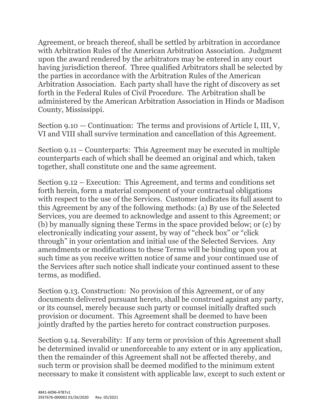Agreement, or breach thereof, shall be settled by arbitration in accordance with Arbitration Rules of the American Arbitration Association. Judgment upon the award rendered by the arbitrators may be entered in any court having jurisdiction thereof. Three qualified Arbitrators shall be selected by the parties in accordance with the Arbitration Rules of the American Arbitration Association. Each party shall have the right of discovery as set forth in the Federal Rules of Civil Procedure. The Arbitration shall be administered by the American Arbitration Association in Hinds or Madison County, Mississippi.

Section 9.10 — Continuation: The terms and provisions of Article I, III, V, VI and VIII shall survive termination and cancellation of this Agreement.

Section 9.11 – Counterparts: This Agreement may be executed in multiple counterparts each of which shall be deemed an original and which, taken together, shall constitute one and the same agreement.

Section 9.12 – Execution: This Agreement, and terms and conditions set forth herein, form a material component of your contractual obligations with respect to the use of the Services. Customer indicates its full assent to this Agreement by any of the following methods: (a) By use of the Selected Services, you are deemed to acknowledge and assent to this Agreement; or (b) by manually signing these Terms in the space provided below; or (c) by electronically indicating your assent, by way of "check box" or "click through" in your orientation and initial use of the Selected Services. Any amendments or modifications to these Terms will be binding upon you at such time as you receive written notice of same and your continued use of the Services after such notice shall indicate your continued assent to these terms, as modified.

Section 9.13. Construction: No provision of this Agreement, or of any documents delivered pursuant hereto, shall be construed against any party, or its counsel, merely because such party or counsel initially drafted such provision or document. This Agreement shall be deemed to have been jointly drafted by the parties hereto for contract construction purposes.

Section 9.14. Severability: If any term or provision of this Agreement shall be determined invalid or unenforceable to any extent or in any application, then the remainder of this Agreement shall not be affected thereby, and such term or provision shall be deemed modified to the minimum extent necessary to make it consistent with applicable law, except to such extent or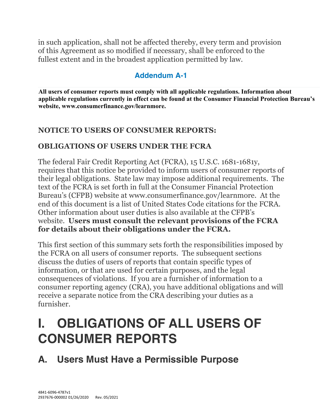in such application, shall not be affected thereby, every term and provision of this Agreement as so modified if necessary, shall be enforced to the fullest extent and in the broadest application permitted by law.

## **Addendum A-1**

**All users of consumer reports must comply with all applicable regulations. Information about applicable regulations currently in effect can be found at the Consumer Financial Protection Bureau's website, www.consumerfinance.gov/learnmore.**

## **NOTICE TO USERS OF CONSUMER REPORTS:**

### **OBLIGATIONS OF USERS UNDER THE FCRA**

The federal Fair Credit Reporting Act (FCRA), 15 U.S.C. 1681-1681y, requires that this notice be provided to inform users of consumer reports of their legal obligations. State law may impose additional requirements. The text of the FCRA is set forth in full at the Consumer Financial Protection Bureau's (CFPB) website at www.consumerfinance.gov/learnmore. At the end of this document is a list of United States Code citations for the FCRA. Other information about user duties is also available at the CFPB's website. **Users must consult the relevant provisions of the FCRA for details about their obligations under the FCRA.**

This first section of this summary sets forth the responsibilities imposed by the FCRA on all users of consumer reports. The subsequent sections discuss the duties of users of reports that contain specific types of information, or that are used for certain purposes, and the legal consequences of violations. If you are a furnisher of information to a consumer reporting agency (CRA), you have additional obligations and will receive a separate notice from the CRA describing your duties as a furnisher.

# **I. OBLIGATIONS OF ALL USERS OF CONSUMER REPORTS**

## **A. Users Must Have a Permissible Purpose**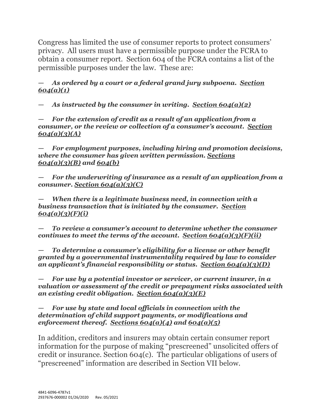Congress has limited the use of consumer reports to protect consumers' privacy. All users must have a permissible purpose under the FCRA to obtain a consumer report. Section 604 of the FCRA contains a list of the permissible purposes under the law. These are:

#### *— As ordered by a court or a federal grand jury subpoena. Section 604(a)(1)*

*— As instructed by the consumer in writing. Section 604(a)(2)*

For the extension of credit as a result of an application from a *consumer, or the review or collection of a consumer's account. Section 604(a)(3)(A)*

*— For employment purposes, including hiring and promotion decisions, where the consumer has given written permission. Sections 604(a)(3)(B) and 604(b)*

*— For the underwriting of insurance as a result of an application from a consumer. Section 604(a)(3)(C)*

*When there is a legitimate business need, in connection with a business transaction that is initiated by the consumer. Section 604(a)(3)(F)(i)*

*— To review a consumer's account to determine whether the consumer continues to meet the terms of the account. Section 604(a)(3)(F)(ii)*

*— To determine a consumer's eligibility for a license or other benefit granted by a governmental instrumentality required by law to consider an applicant's financial responsibility or status. Section 604(a)(3)(D)*

*— For use by a potential investor or servicer, or current insurer, in a valuation or assessment of the credit or prepayment risks associated with an existing credit obligation. Section 604(a)(3)(E)*

#### *— For use by state and local officials in connection with the determination of child support payments, or modifications and enforcement thereof. Sections 604(a)(4) and 604(a)(5)*

In addition, creditors and insurers may obtain certain consumer report information for the purpose of making "prescreened" unsolicited offers of credit or insurance. Section 604(c). The particular obligations of users of "prescreened" information are described in Section VII below.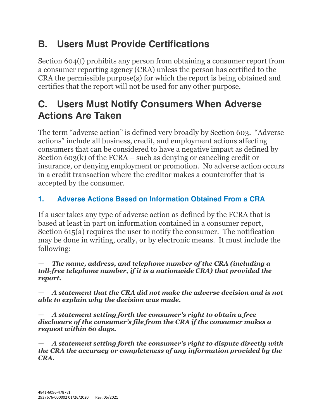## **B. Users Must Provide Certifications**

Section 604(f) prohibits any person from obtaining a consumer report from a consumer reporting agency (CRA) unless the person has certified to the CRA the permissible purpose(s) for which the report is being obtained and certifies that the report will not be used for any other purpose.

## **C. Users Must Notify Consumers When Adverse Actions Are Taken**

The term "adverse action" is defined very broadly by Section 603. "Adverse actions" include all business, credit, and employment actions affecting consumers that can be considered to have a negative impact as defined by Section 603(k) of the FCRA – such as denying or canceling credit or insurance, or denying employment or promotion. No adverse action occurs in a credit transaction where the creditor makes a counteroffer that is accepted by the consumer.

## **1. Adverse Actions Based on Information Obtained From a CRA**

If a user takes any type of adverse action as defined by the FCRA that is based at least in part on information contained in a consumer report, Section 615(a) requires the user to notify the consumer. The notification may be done in writing, orally, or by electronic means. It must include the following:

*— The name, address, and telephone number of the CRA (including a toll-free telephone number, if it is a nationwide CRA) that provided the report.*

*— A statement that the CRA did not make the adverse decision and is not able to explain why the decision was made.*

*— A statement setting forth the consumer's right to obtain a free disclosure of the consumer's file from the CRA if the consumer makes a request within 60 days.*

*— A statement setting forth the consumer's right to dispute directly with the CRA the accuracy or completeness of any information provided by the CRA.*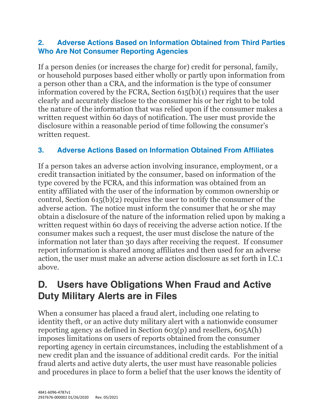### **2. Adverse Actions Based on Information Obtained from Third Parties Who Are Not Consumer Reporting Agencies**

If a person denies (or increases the charge for) credit for personal, family, or household purposes based either wholly or partly upon information from a person other than a CRA, and the information is the type of consumer information covered by the FCRA, Section 615(b)(1) requires that the user clearly and accurately disclose to the consumer his or her right to be told the nature of the information that was relied upon if the consumer makes a written request within 60 days of notification. The user must provide the disclosure within a reasonable period of time following the consumer's written request.

### **3. Adverse Actions Based on Information Obtained From Affiliates**

If a person takes an adverse action involving insurance, employment, or a credit transaction initiated by the consumer, based on information of the type covered by the FCRA, and this information was obtained from an entity affiliated with the user of the information by common ownership or control, Section 615(b)(2) requires the user to notify the consumer of the adverse action. The notice must inform the consumer that he or she may obtain a disclosure of the nature of the information relied upon by making a written request within 60 days of receiving the adverse action notice. If the consumer makes such a request, the user must disclose the nature of the information not later than 30 days after receiving the request. If consumer report information is shared among affiliates and then used for an adverse action, the user must make an adverse action disclosure as set forth in I.C.1 above.

## **D. Users have Obligations When Fraud and Active Duty Military Alerts are in Files**

When a consumer has placed a fraud alert, including one relating to identity theft, or an active duty military alert with a nationwide consumer reporting agency as defined in Section 603(p) and resellers, 605A(h) imposes limitations on users of reports obtained from the consumer reporting agency in certain circumstances, including the establishment of a new credit plan and the issuance of additional credit cards. For the initial fraud alerts and active duty alerts, the user must have reasonable policies and procedures in place to form a belief that the user knows the identity of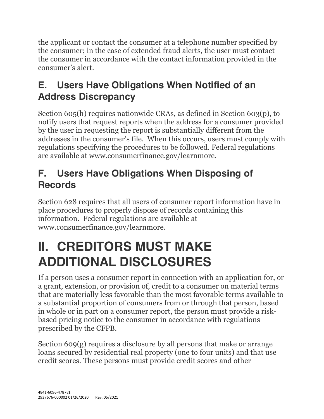the applicant or contact the consumer at a telephone number specified by the consumer; in the case of extended fraud alerts, the user must contact the consumer in accordance with the contact information provided in the consumer's alert.

# **E. Users Have Obligations When Notified of an Address Discrepancy**

Section 605(h) requires nationwide CRAs, as defined in Section 603(p), to notify users that request reports when the address for a consumer provided by the user in requesting the report is substantially different from the addresses in the consumer's file. When this occurs, users must comply with regulations specifying the procedures to be followed. Federal regulations are available at www.consumerfinance.gov/learnmore.

# **F. Users Have Obligations When Disposing of Records**

Section 628 requires that all users of consumer report information have in place procedures to properly dispose of records containing this information. Federal regulations are available at www.consumerfinance.gov/learnmore.

# **II. CREDITORS MUST MAKE ADDITIONAL DISCLOSURES**

If a person uses a consumer report in connection with an application for, or a grant, extension, or provision of, credit to a consumer on material terms that are materially less favorable than the most favorable terms available to a substantial proportion of consumers from or through that person, based in whole or in part on a consumer report, the person must provide a riskbased pricing notice to the consumer in accordance with regulations prescribed by the CFPB.

Section 609(g) requires a disclosure by all persons that make or arrange loans secured by residential real property (one to four units) and that use credit scores. These persons must provide credit scores and other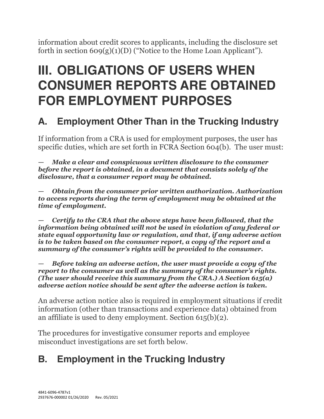information about credit scores to applicants, including the disclosure set forth in section 609(g)(1)(D) ("Notice to the Home Loan Applicant").

# **III. OBLIGATIONS OF USERS WHEN CONSUMER REPORTS ARE OBTAINED FOR EMPLOYMENT PURPOSES**

# **A. Employment Other Than in the Trucking Industry**

If information from a CRA is used for employment purposes, the user has specific duties, which are set forth in FCRA Section 604(b). The user must:

*— Make a clear and conspicuous written disclosure to the consumer before the report is obtained, in a document that consists solely of the disclosure, that a consumer report may be obtained.*

*— Obtain from the consumer prior written authorization. Authorization to access reports during the term of employment may be obtained at the time of employment.*

*— Certify to the CRA that the above steps have been followed, that the information being obtained will not be used in violation of any federal or state equal opportunity law or regulation, and that, if any adverse action is to be taken based on the consumer report, a copy of the report and a summary of the consumer's rights will be provided to the consumer.*

*— Before taking an adverse action, the user must provide a copy of the report to the consumer as well as the summary of the consumer's rights. (The user should receive this summary from the CRA.) A Section 615(a) adverse action notice should be sent after the adverse action is taken.*

An adverse action notice also is required in employment situations if credit information (other than transactions and experience data) obtained from an affiliate is used to deny employment. Section 615(b)(2).

The procedures for investigative consumer reports and employee misconduct investigations are set forth below.

# **B. Employment in the Trucking Industry**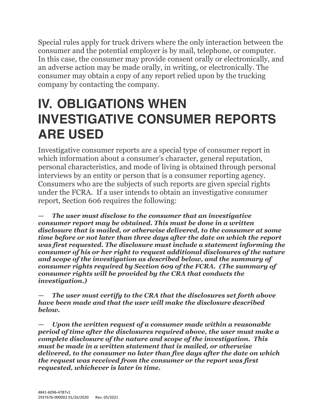Special rules apply for truck drivers where the only interaction between the consumer and the potential employer is by mail, telephone, or computer. In this case, the consumer may provide consent orally or electronically, and an adverse action may be made orally, in writing, or electronically. The consumer may obtain a copy of any report relied upon by the trucking company by contacting the company.

# **IV. OBLIGATIONS WHEN INVESTIGATIVE CONSUMER REPORTS ARE USED**

Investigative consumer reports are a special type of consumer report in which information about a consumer's character, general reputation, personal characteristics, and mode of living is obtained through personal interviews by an entity or person that is a consumer reporting agency. Consumers who are the subjects of such reports are given special rights under the FCRA. If a user intends to obtain an investigative consumer report, Section 606 requires the following:

*— The user must disclose to the consumer that an investigative consumer report may be obtained. This must be done in a written disclosure that is mailed, or otherwise delivered, to the consumer at some time before or not later than three days after the date on which the report was first requested. The disclosure must include a statement informing the consumer of his or her right to request additional disclosures of the nature and scope of the investigation as described below, and the summary of consumer rights required by Section 609 of the FCRA. (The summary of consumer rights will be provided by the CRA that conducts the investigation.)*

*— The user must certify to the CRA that the disclosures set forth above have been made and that the user will make the disclosure described below.*

*Upon the written request of a consumer made within a reasonable period of time after the disclosures required above, the user must make a complete disclosure of the nature and scope of the investigation. This must be made in a written statement that is mailed, or otherwise delivered, to the consumer no later than five days after the date on which the request was received from the consumer or the report was first requested, whichever is later in time.*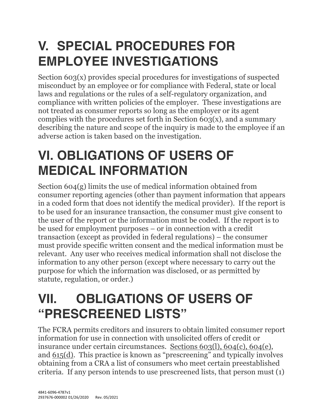# **V. SPECIAL PROCEDURES FOR EMPLOYEE INVESTIGATIONS**

Section 603(x) provides special procedures for investigations of suspected misconduct by an employee or for compliance with Federal, state or local laws and regulations or the rules of a self-regulatory organization, and compliance with written policies of the employer. These investigations are not treated as consumer reports so long as the employer or its agent complies with the procedures set forth in Section  $603(x)$ , and a summary describing the nature and scope of the inquiry is made to the employee if an adverse action is taken based on the investigation.

# **VI. OBLIGATIONS OF USERS OF MEDICAL INFORMATION**

Section 604(g) limits the use of medical information obtained from consumer reporting agencies (other than payment information that appears in a coded form that does not identify the medical provider). If the report is to be used for an insurance transaction, the consumer must give consent to the user of the report or the information must be coded. If the report is to be used for employment purposes – or in connection with a credit transaction (except as provided in federal regulations) – the consumer must provide specific written consent and the medical information must be relevant. Any user who receives medical information shall not disclose the information to any other person (except where necessary to carry out the purpose for which the information was disclosed, or as permitted by statute, regulation, or order.)

# **VII. OBLIGATIONS OF USERS OF "PRESCREENED LISTS"**

The FCRA permits creditors and insurers to obtain limited consumer report information for use in connection with unsolicited offers of credit or insurance under certain circumstances. Sections 603(l), 604(c), 604(e), and 615(d). This practice is known as "prescreening" and typically involves obtaining from a CRA a list of consumers who meet certain preestablished criteria. If any person intends to use prescreened lists, that person must (1)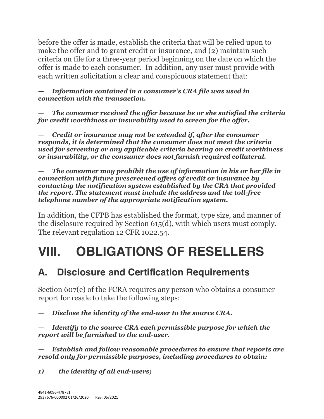before the offer is made, establish the criteria that will be relied upon to make the offer and to grant credit or insurance, and (2) maintain such criteria on file for a three-year period beginning on the date on which the offer is made to each consumer. In addition, any user must provide with each written solicitation a clear and conspicuous statement that:

Information contained in a consumer's CRA file was used in *connection with the transaction.*

*— The consumer received the offer because he or she satisfied the criteria for credit worthiness or insurability used to screen for the offer.*

*Credit or insurance may not be extended if, after the consumer responds, it is determined that the consumer does not meet the criteria used for screening or any applicable criteria bearing on credit worthiness or insurability, or the consumer does not furnish required collateral.*

*— The consumer may prohibit the use of information in his or her file in connection with future prescreened offers of credit or insurance by contacting the notification system established by the CRA that provided the report. The statement must include the address and the toll-free telephone number of the appropriate notification system.*

In addition, the CFPB has established the format, type size, and manner of the disclosure required by Section 615(d), with which users must comply. The relevant regulation 12 CFR 1022.54.

# **VIII. OBLIGATIONS OF RESELLERS**

## **A. Disclosure and Certification Requirements**

Section 607(e) of the FCRA requires any person who obtains a consumer report for resale to take the following steps:

*— Disclose the identity of the end-user to the source CRA.*

*— Identify to the source CRA each permissible purpose for which the report will be furnished to the end-user.*

*— Establish and follow reasonable procedures to ensure that reports are resold only for permissible purposes, including procedures to obtain:*

*1) the identity of all end-users;*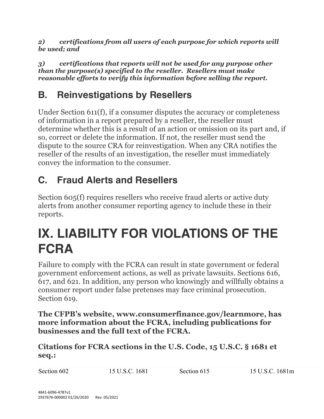*2) certifications from all users of each purpose for which reports will be used; and*

*3) certifications that reports will not be used for any purpose other than the purpose(s) specified to the reseller. Resellers must make reasonable efforts to verify this information before selling the report.*

# **B. Reinvestigations by Resellers**

Under Section 611(f), if a consumer disputes the accuracy or completeness of information in a report prepared by a reseller, the reseller must determine whether this is a result of an action or omission on its part and, if so, correct or delete the information. If not, the reseller must send the dispute to the source CRA for reinvestigation. When any CRA notifies the reseller of the results of an investigation, the reseller must immediately convey the information to the consumer.

# **C. Fraud Alerts and Resellers**

Section 605(f) requires resellers who receive fraud alerts or active duty alerts from another consumer reporting agency to include these in their reports.

# **IX. LIABILITY FOR VIOLATIONS OF THE FCRA**

Failure to comply with the FCRA can result in state government or federal government enforcement actions, as well as private lawsuits. Sections 616, 617, and 621. In addition, any person who knowingly and willfully obtains a consumer report under false pretenses may face criminal prosecution. Section 619.

**The CFPB's website, www.consumerfinance.gov/learnmore, has more information about the FCRA, including publications for businesses and the full text of the FCRA.**

**Citations for FCRA sections in the U.S. Code, 15 U.S.C. § 1681 et seq.:**